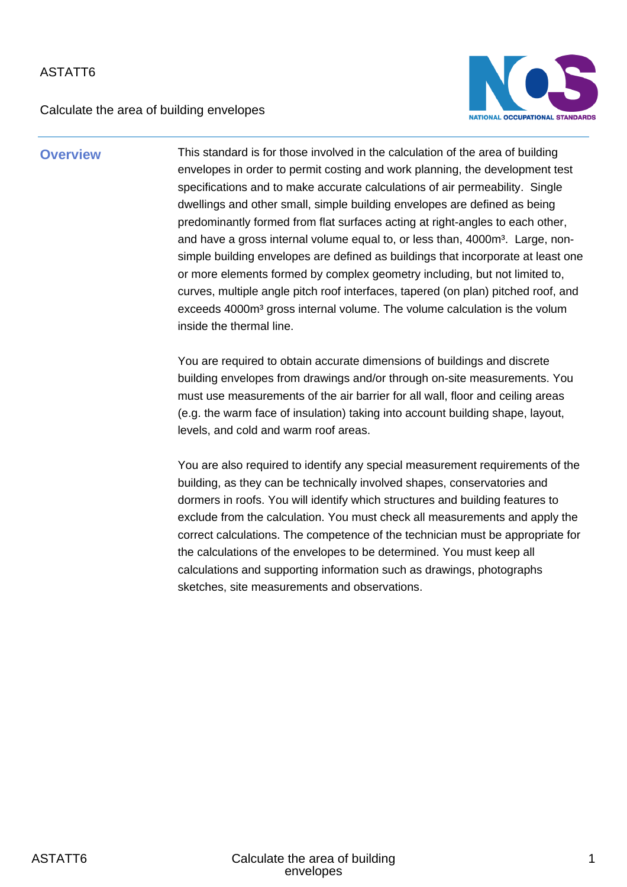Calculate the area of building envelopes



**Overview** This standard is for those involved in the calculation of the area of building envelopes in order to permit costing and work planning, the development test specifications and to make accurate calculations of air permeability. Single dwellings and other small, simple building envelopes are defined as being predominantly formed from flat surfaces acting at right-angles to each other, and have a gross internal volume equal to, or less than, 4000m<sup>3</sup>. Large, nonsimple building envelopes are defined as buildings that incorporate at least one or more elements formed by complex geometry including, but not limited to, curves, multiple angle pitch roof interfaces, tapered (on plan) pitched roof, and exceeds 4000m<sup>3</sup> gross internal volume. The volume calculation is the volum inside the thermal line.

> You are required to obtain accurate dimensions of buildings and discrete building envelopes from drawings and/or through on-site measurements. You must use measurements of the air barrier for all wall, floor and ceiling areas (e.g. the warm face of insulation) taking into account building shape, layout, levels, and cold and warm roof areas.

You are also required to identify any special measurement requirements of the building, as they can be technically involved shapes, conservatories and dormers in roofs. You will identify which structures and building features to exclude from the calculation. You must check all measurements and apply the correct calculations. The competence of the technician must be appropriate for the calculations of the envelopes to be determined. You must keep all calculations and supporting information such as drawings, photographs sketches, site measurements and observations.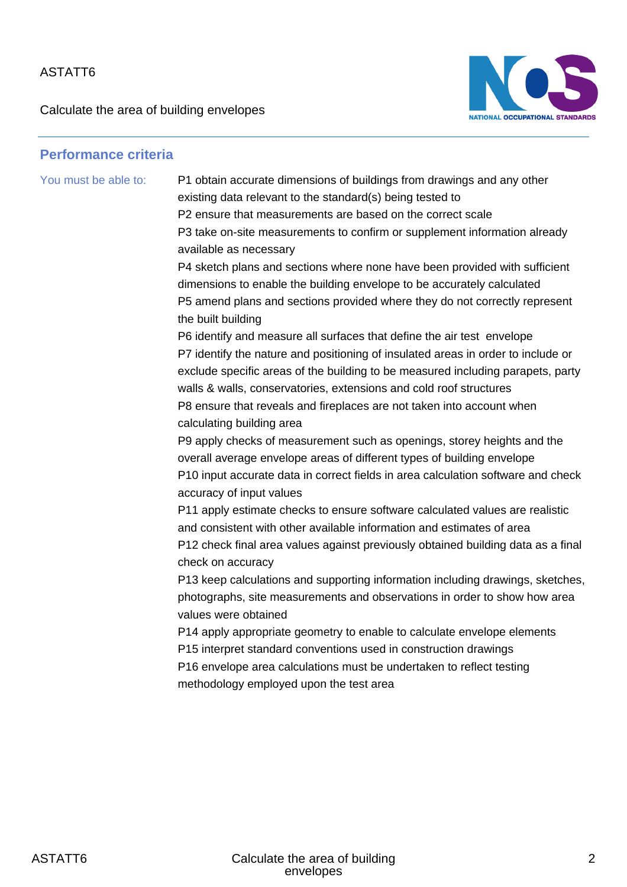Calculate the area of building envelopes



### **Performance criteria**

You must be able to: P1 obtain accurate dimensions of buildings from drawings and any other existing data relevant to the standard(s) being tested to P2 ensure that measurements are based on the correct scale P3 take on-site measurements to confirm or supplement information already available as necessary P4 sketch plans and sections where none have been provided with sufficient dimensions to enable the building envelope to be accurately calculated P5 amend plans and sections provided where they do not correctly represent the built building P6 identify and measure all surfaces that define the air test envelope P7 identify the nature and positioning of insulated areas in order to include or exclude specific areas of the building to be measured including parapets, party walls & walls, conservatories, extensions and cold roof structures

> P8 ensure that reveals and fireplaces are not taken into account when calculating building area

P9 apply checks of measurement such as openings, storey heights and the overall average envelope areas of different types of building envelope P10 input accurate data in correct fields in area calculation software and check accuracy of input values

P11 apply estimate checks to ensure software calculated values are realistic and consistent with other available information and estimates of area P12 check final area values against previously obtained building data as a final check on accuracy

P13 keep calculations and supporting information including drawings, sketches, photographs, site measurements and observations in order to show how area values were obtained

P14 apply appropriate geometry to enable to calculate envelope elements P15 interpret standard conventions used in construction drawings P16 envelope area calculations must be undertaken to reflect testing methodology employed upon the test area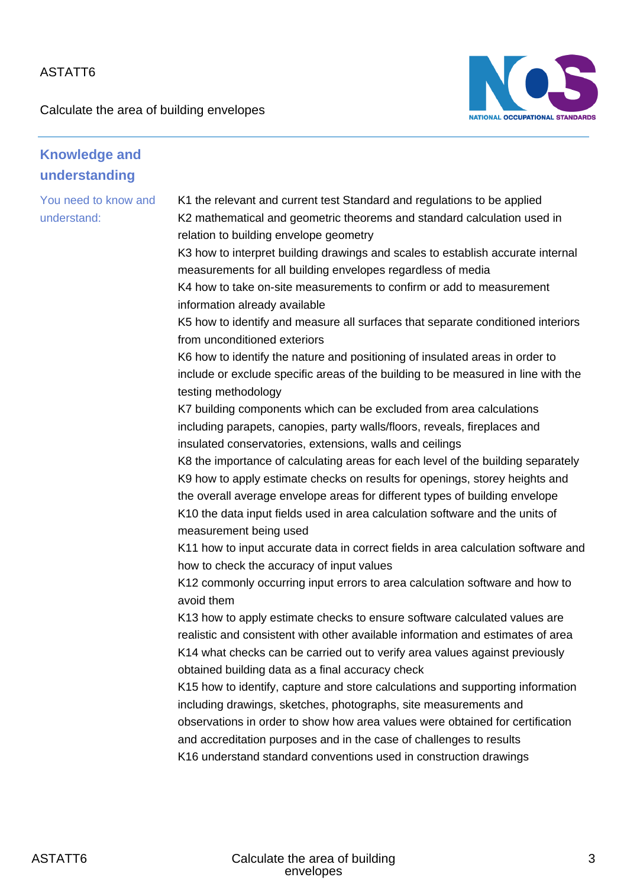Calculate the area of building envelopes



| <b>Knowledge and</b>                                 |                                                                                                                                                                                                                                                                                                                                                                                                                                                                                                                                                                                                                                                                                                                                                                                                                                                                                                                                                                                                                                                                                                                                                                                                                                                                                                                                                                                                                                                                                                                                                                     |
|------------------------------------------------------|---------------------------------------------------------------------------------------------------------------------------------------------------------------------------------------------------------------------------------------------------------------------------------------------------------------------------------------------------------------------------------------------------------------------------------------------------------------------------------------------------------------------------------------------------------------------------------------------------------------------------------------------------------------------------------------------------------------------------------------------------------------------------------------------------------------------------------------------------------------------------------------------------------------------------------------------------------------------------------------------------------------------------------------------------------------------------------------------------------------------------------------------------------------------------------------------------------------------------------------------------------------------------------------------------------------------------------------------------------------------------------------------------------------------------------------------------------------------------------------------------------------------------------------------------------------------|
| understanding<br>You need to know and<br>understand: | K1 the relevant and current test Standard and regulations to be applied<br>K2 mathematical and geometric theorems and standard calculation used in<br>relation to building envelope geometry<br>K3 how to interpret building drawings and scales to establish accurate internal<br>measurements for all building envelopes regardless of media<br>K4 how to take on-site measurements to confirm or add to measurement<br>information already available<br>K5 how to identify and measure all surfaces that separate conditioned interiors<br>from unconditioned exteriors<br>K6 how to identify the nature and positioning of insulated areas in order to<br>include or exclude specific areas of the building to be measured in line with the<br>testing methodology<br>K7 building components which can be excluded from area calculations<br>including parapets, canopies, party walls/floors, reveals, fireplaces and<br>insulated conservatories, extensions, walls and ceilings<br>K8 the importance of calculating areas for each level of the building separately<br>K9 how to apply estimate checks on results for openings, storey heights and<br>the overall average envelope areas for different types of building envelope<br>K10 the data input fields used in area calculation software and the units of<br>measurement being used<br>K11 how to input accurate data in correct fields in area calculation software and<br>how to check the accuracy of input values<br>K12 commonly occurring input errors to area calculation software and how to |
|                                                      | avoid them<br>K13 how to apply estimate checks to ensure software calculated values are<br>realistic and consistent with other available information and estimates of area<br>K14 what checks can be carried out to verify area values against previously<br>obtained building data as a final accuracy check<br>K15 how to identify, capture and store calculations and supporting information<br>including drawings, sketches, photographs, site measurements and<br>observations in order to show how area values were obtained for certification                                                                                                                                                                                                                                                                                                                                                                                                                                                                                                                                                                                                                                                                                                                                                                                                                                                                                                                                                                                                                |
|                                                      | and accreditation purposes and in the case of challenges to results<br>K16 understand standard conventions used in construction drawings                                                                                                                                                                                                                                                                                                                                                                                                                                                                                                                                                                                                                                                                                                                                                                                                                                                                                                                                                                                                                                                                                                                                                                                                                                                                                                                                                                                                                            |